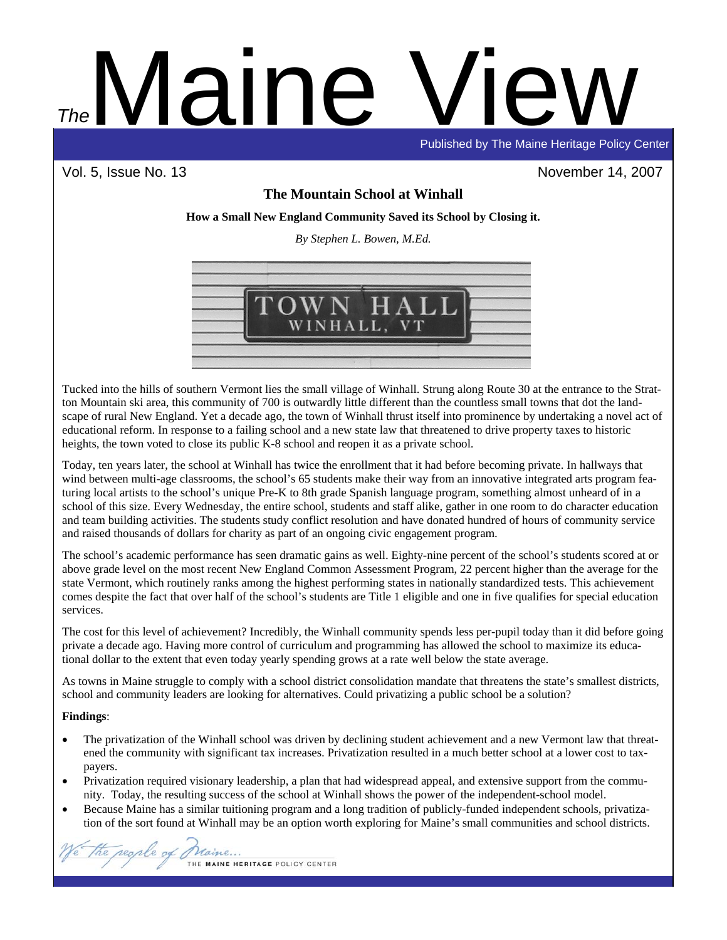# Maine View Published by The Maine Heritage Policy Center *The*

Vol. 5, Issue No. 13 November 14, 2007

# **The Mountain School at Winhall**

**How a Small New England Community Saved its School by Closing it.** 

*By Stephen L. Bowen, M.Ed.* 



Tucked into the hills of southern Vermont lies the small village of Winhall. Strung along Route 30 at the entrance to the Stratton Mountain ski area, this community of 700 is outwardly little different than the countless small towns that dot the landscape of rural New England. Yet a decade ago, the town of Winhall thrust itself into prominence by undertaking a novel act of educational reform. In response to a failing school and a new state law that threatened to drive property taxes to historic heights, the town voted to close its public K-8 school and reopen it as a private school.

Today, ten years later, the school at Winhall has twice the enrollment that it had before becoming private. In hallways that wind between multi-age classrooms, the school's 65 students make their way from an innovative integrated arts program featuring local artists to the school's unique Pre-K to 8th grade Spanish language program, something almost unheard of in a school of this size. Every Wednesday, the entire school, students and staff alike, gather in one room to do character education and team building activities. The students study conflict resolution and have donated hundred of hours of community service and raised thousands of dollars for charity as part of an ongoing civic engagement program.

The school's academic performance has seen dramatic gains as well. Eighty-nine percent of the school's students scored at or above grade level on the most recent New England Common Assessment Program, 22 percent higher than the average for the state Vermont, which routinely ranks among the highest performing states in nationally standardized tests. This achievement comes despite the fact that over half of the school's students are Title 1 eligible and one in five qualifies for special education services.

The cost for this level of achievement? Incredibly, the Winhall community spends less per-pupil today than it did before going private a decade ago. Having more control of curriculum and programming has allowed the school to maximize its educational dollar to the extent that even today yearly spending grows at a rate well below the state average.

As towns in Maine struggle to comply with a school district consolidation mandate that threatens the state's smallest districts, school and community leaders are looking for alternatives. Could privatizing a public school be a solution?

# **Findings**:

- The privatization of the Winhall school was driven by declining student achievement and a new Vermont law that threatened the community with significant tax increases. Privatization resulted in a much better school at a lower cost to taxpayers.
- Privatization required visionary leadership, a plan that had widespread appeal, and extensive support from the community. Today, the resulting success of the school at Winhall shows the power of the independent-school model.
- Because Maine has a similar tuitioning program and a long tradition of publicly-funded independent schools, privatization of the sort found at Winhall may be an option worth exploring for Maine's small communities and school districts.

the regile of 1 Maine.

THE MAINE HERITAGE POLICY CENTER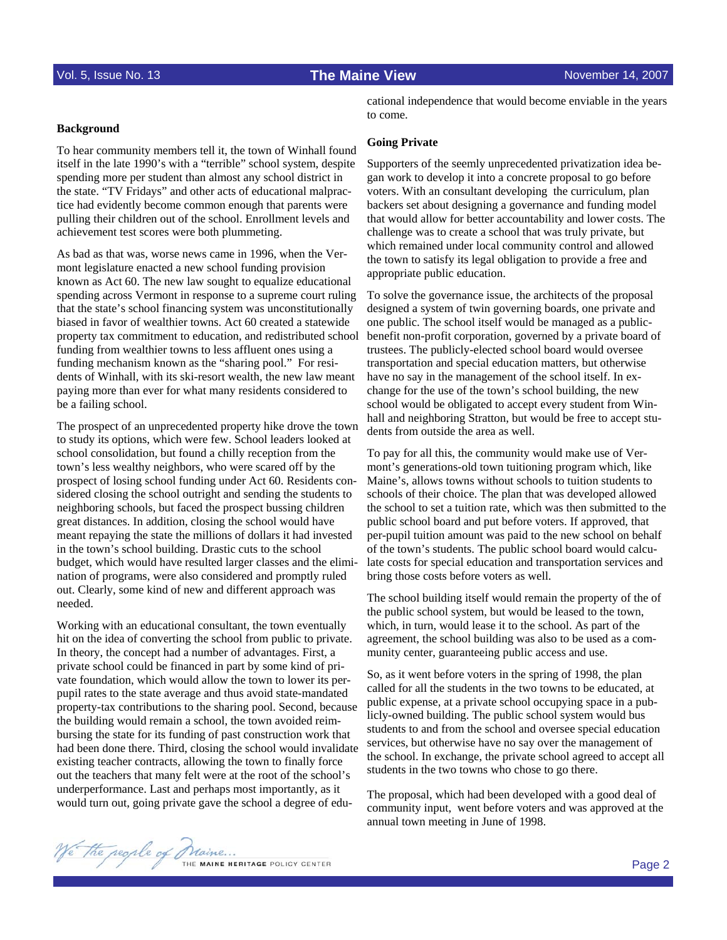# **Background**

To hear community members tell it, the town of Winhall found itself in the late 1990's with a "terrible" school system, despite spending more per student than almost any school district in the state. "TV Fridays" and other acts of educational malpractice had evidently become common enough that parents were pulling their children out of the school. Enrollment levels and achievement test scores were both plummeting.

As bad as that was, worse news came in 1996, when the Vermont legislature enacted a new school funding provision known as Act 60. The new law sought to equalize educational spending across Vermont in response to a supreme court ruling that the state's school financing system was unconstitutionally biased in favor of wealthier towns. Act 60 created a statewide property tax commitment to education, and redistributed school funding from wealthier towns to less affluent ones using a funding mechanism known as the "sharing pool." For residents of Winhall, with its ski-resort wealth, the new law meant paying more than ever for what many residents considered to be a failing school.

The prospect of an unprecedented property hike drove the town to study its options, which were few. School leaders looked at school consolidation, but found a chilly reception from the town's less wealthy neighbors, who were scared off by the prospect of losing school funding under Act 60. Residents considered closing the school outright and sending the students to neighboring schools, but faced the prospect bussing children great distances. In addition, closing the school would have meant repaying the state the millions of dollars it had invested in the town's school building. Drastic cuts to the school budget, which would have resulted larger classes and the elimination of programs, were also considered and promptly ruled out. Clearly, some kind of new and different approach was needed.

Working with an educational consultant, the town eventually hit on the idea of converting the school from public to private. In theory, the concept had a number of advantages. First, a private school could be financed in part by some kind of private foundation, which would allow the town to lower its perpupil rates to the state average and thus avoid state-mandated property-tax contributions to the sharing pool. Second, because the building would remain a school, the town avoided reimbursing the state for its funding of past construction work that had been done there. Third, closing the school would invalidate existing teacher contracts, allowing the town to finally force out the teachers that many felt were at the root of the school's underperformance. Last and perhaps most importantly, as it would turn out, going private gave the school a degree of edu-

cational independence that would become enviable in the years to come.

### **Going Private**

Supporters of the seemly unprecedented privatization idea began work to develop it into a concrete proposal to go before voters. With an consultant developing the curriculum, plan backers set about designing a governance and funding model that would allow for better accountability and lower costs. The challenge was to create a school that was truly private, but which remained under local community control and allowed the town to satisfy its legal obligation to provide a free and appropriate public education.

To solve the governance issue, the architects of the proposal designed a system of twin governing boards, one private and one public. The school itself would be managed as a publicbenefit non-profit corporation, governed by a private board of trustees. The publicly-elected school board would oversee transportation and special education matters, but otherwise have no say in the management of the school itself. In exchange for the use of the town's school building, the new school would be obligated to accept every student from Winhall and neighboring Stratton, but would be free to accept students from outside the area as well.

To pay for all this, the community would make use of Vermont's generations-old town tuitioning program which, like Maine's, allows towns without schools to tuition students to schools of their choice. The plan that was developed allowed the school to set a tuition rate, which was then submitted to the public school board and put before voters. If approved, that per-pupil tuition amount was paid to the new school on behalf of the town's students. The public school board would calculate costs for special education and transportation services and bring those costs before voters as well.

The school building itself would remain the property of the of the public school system, but would be leased to the town, which, in turn, would lease it to the school. As part of the agreement, the school building was also to be used as a community center, guaranteeing public access and use.

So, as it went before voters in the spring of 1998, the plan called for all the students in the two towns to be educated, at public expense, at a private school occupying space in a publicly-owned building. The public school system would bus students to and from the school and oversee special education services, but otherwise have no say over the management of the school. In exchange, the private school agreed to accept all students in the two towns who chose to go there.

The proposal, which had been developed with a good deal of community input, went before voters and was approved at the annual town meeting in June of 1998.

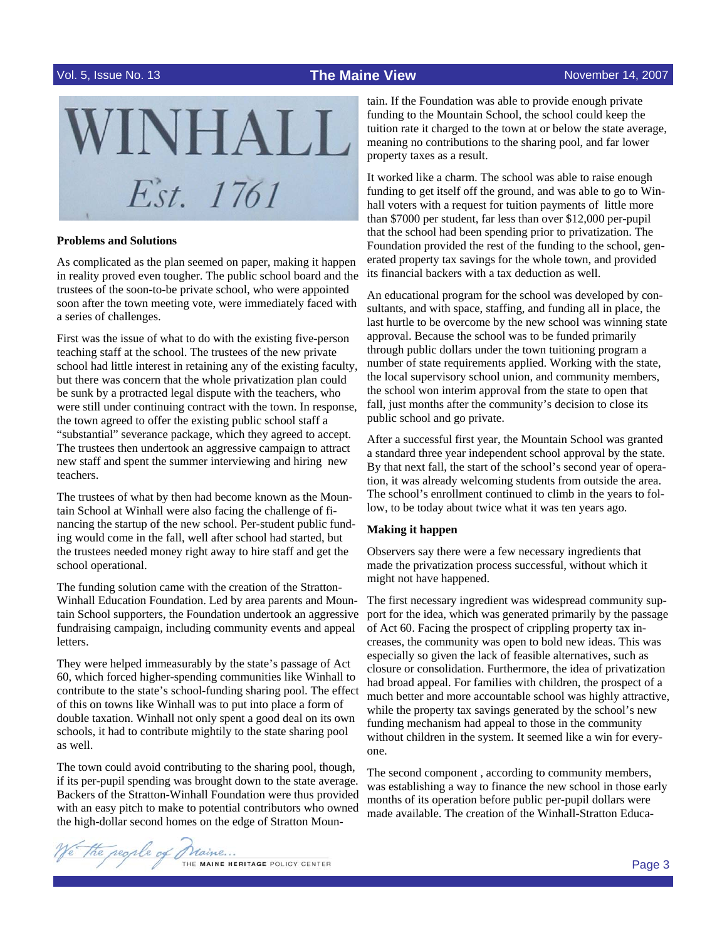

### **Problems and Solutions**

As complicated as the plan seemed on paper, making it happen in reality proved even tougher. The public school board and the trustees of the soon-to-be private school, who were appointed soon after the town meeting vote, were immediately faced with a series of challenges.

First was the issue of what to do with the existing five-person teaching staff at the school. The trustees of the new private school had little interest in retaining any of the existing faculty, but there was concern that the whole privatization plan could be sunk by a protracted legal dispute with the teachers, who were still under continuing contract with the town. In response, the town agreed to offer the existing public school staff a "substantial" severance package, which they agreed to accept. The trustees then undertook an aggressive campaign to attract new staff and spent the summer interviewing and hiring new teachers.

The trustees of what by then had become known as the Mountain School at Winhall were also facing the challenge of financing the startup of the new school. Per-student public funding would come in the fall, well after school had started, but the trustees needed money right away to hire staff and get the school operational.

The funding solution came with the creation of the Stratton-Winhall Education Foundation. Led by area parents and Mountain School supporters, the Foundation undertook an aggressive fundraising campaign, including community events and appeal letters.

They were helped immeasurably by the state's passage of Act 60, which forced higher-spending communities like Winhall to contribute to the state's school-funding sharing pool. The effect of this on towns like Winhall was to put into place a form of double taxation. Winhall not only spent a good deal on its own schools, it had to contribute mightily to the state sharing pool as well.

The town could avoid contributing to the sharing pool, though, if its per-pupil spending was brought down to the state average. Backers of the Stratton-Winhall Foundation were thus provided with an easy pitch to make to potential contributors who owned the high-dollar second homes on the edge of Stratton Moun-

tain. If the Foundation was able to provide enough private funding to the Mountain School, the school could keep the tuition rate it charged to the town at or below the state average, meaning no contributions to the sharing pool, and far lower property taxes as a result.

It worked like a charm. The school was able to raise enough funding to get itself off the ground, and was able to go to Winhall voters with a request for tuition payments of little more than \$7000 per student, far less than over \$12,000 per-pupil that the school had been spending prior to privatization. The Foundation provided the rest of the funding to the school, generated property tax savings for the whole town, and provided its financial backers with a tax deduction as well.

An educational program for the school was developed by consultants, and with space, staffing, and funding all in place, the last hurtle to be overcome by the new school was winning state approval. Because the school was to be funded primarily through public dollars under the town tuitioning program a number of state requirements applied. Working with the state, the local supervisory school union, and community members, the school won interim approval from the state to open that fall, just months after the community's decision to close its public school and go private.

After a successful first year, the Mountain School was granted a standard three year independent school approval by the state. By that next fall, the start of the school's second year of operation, it was already welcoming students from outside the area. The school's enrollment continued to climb in the years to follow, to be today about twice what it was ten years ago.

### **Making it happen**

Observers say there were a few necessary ingredients that made the privatization process successful, without which it might not have happened.

The first necessary ingredient was widespread community support for the idea, which was generated primarily by the passage of Act 60. Facing the prospect of crippling property tax increases, the community was open to bold new ideas. This was especially so given the lack of feasible alternatives, such as closure or consolidation. Furthermore, the idea of privatization had broad appeal. For families with children, the prospect of a much better and more accountable school was highly attractive, while the property tax savings generated by the school's new funding mechanism had appeal to those in the community without children in the system. It seemed like a win for everyone.

The second component , according to community members, was establishing a way to finance the new school in those early months of its operation before public per-pupil dollars were made available. The creation of the Winhall-Stratton Educa-

The regile of Maine ... THE MAINE HERITAGE POLICY CENTER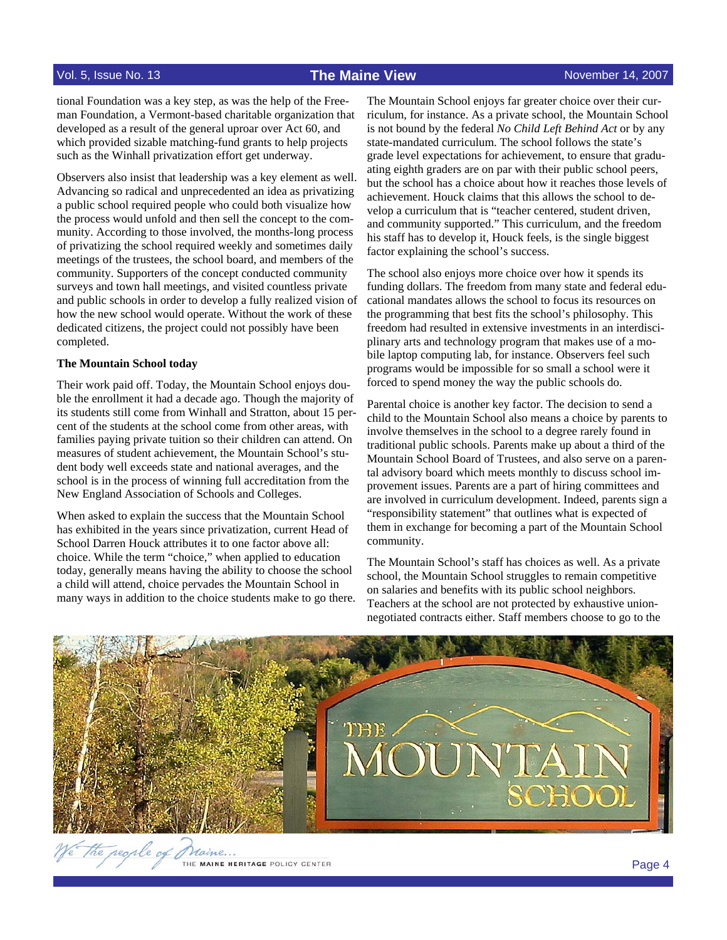tional Foundation was a key step, as was the help of the Freeman Foundation, a Vermont-based charitable organization that developed as a result of the general uproar over Act 60, and which provided sizable matching-fund grants to help projects such as the Winhall privatization effort get underway.

Observers also insist that leadership was a key element as well. Advancing so radical and unprecedented an idea as privatizing a public school required people who could both visualize how the process would unfold and then sell the concept to the community. According to those involved, the months-long process of privatizing the school required weekly and sometimes daily meetings of the trustees, the school board, and members of the community. Supporters of the concept conducted community surveys and town hall meetings, and visited countless private and public schools in order to develop a fully realized vision of how the new school would operate. Without the work of these dedicated citizens, the project could not possibly have been completed.

# **The Mountain School today**

Their work paid off. Today, the Mountain School enjoys double the enrollment it had a decade ago. Though the majority of its students still come from Winhall and Stratton, about 15 percent of the students at the school come from other areas, with families paying private tuition so their children can attend. On measures of student achievement, the Mountain School's student body well exceeds state and national averages, and the school is in the process of winning full accreditation from the New England Association of Schools and Colleges.

When asked to explain the success that the Mountain School has exhibited in the years since privatization, current Head of School Darren Houck attributes it to one factor above all: choice. While the term "choice," when applied to education today, generally means having the ability to choose the school a child will attend, choice pervades the Mountain School in many ways in addition to the choice students make to go there. The Mountain School enjoys far greater choice over their curriculum, for instance. As a private school, the Mountain School is not bound by the federal *No Child Left Behind Act* or by any state-mandated curriculum. The school follows the state's grade level expectations for achievement, to ensure that graduating eighth graders are on par with their public school peers, but the school has a choice about how it reaches those levels of achievement. Houck claims that this allows the school to develop a curriculum that is "teacher centered, student driven, and community supported." This curriculum, and the freedom his staff has to develop it, Houck feels, is the single biggest factor explaining the school's success.

The school also enjoys more choice over how it spends its funding dollars. The freedom from many state and federal educational mandates allows the school to focus its resources on the programming that best fits the school's philosophy. This freedom had resulted in extensive investments in an interdisciplinary arts and technology program that makes use of a mobile laptop computing lab, for instance. Observers feel such programs would be impossible for so small a school were it forced to spend money the way the public schools do.

Parental choice is another key factor. The decision to send a child to the Mountain School also means a choice by parents to involve themselves in the school to a degree rarely found in traditional public schools. Parents make up about a third of the Mountain School Board of Trustees, and also serve on a parental advisory board which meets monthly to discuss school improvement issues. Parents are a part of hiring committees and are involved in curriculum development. Indeed, parents sign a "responsibility statement" that outlines what is expected of them in exchange for becoming a part of the Mountain School community.

The Mountain School's staff has choices as well. As a private school, the Mountain School struggles to remain competitive on salaries and benefits with its public school neighbors. Teachers at the school are not protected by exhaustive unionnegotiated contracts either. Staff members choose to go to the

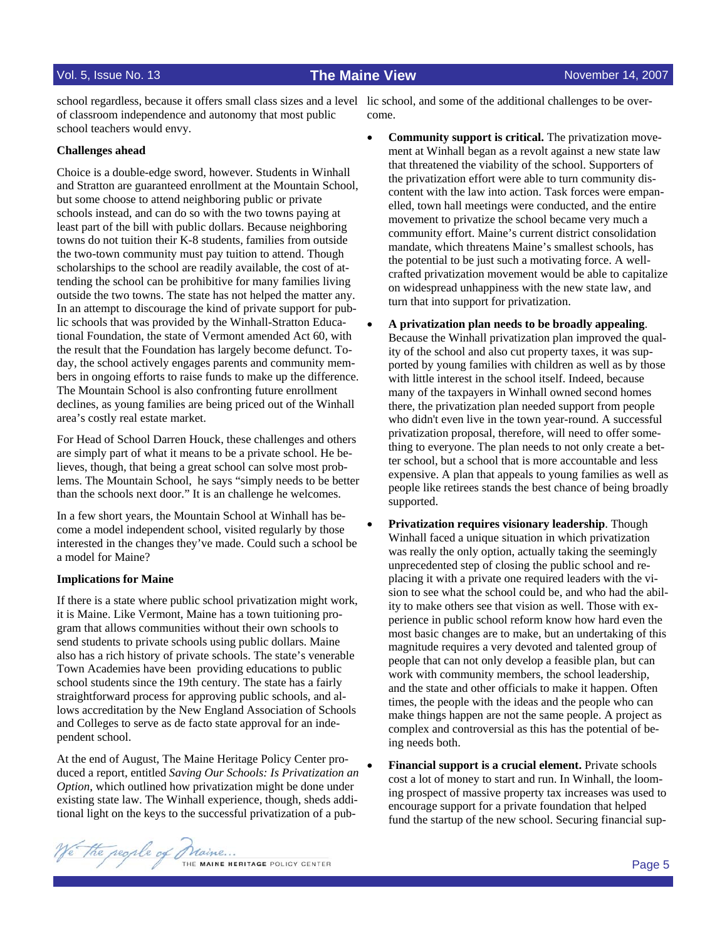of classroom independence and autonomy that most public school teachers would envy.

# **Challenges ahead**

Choice is a double-edge sword, however. Students in Winhall and Stratton are guaranteed enrollment at the Mountain School, but some choose to attend neighboring public or private schools instead, and can do so with the two towns paying at least part of the bill with public dollars. Because neighboring towns do not tuition their K-8 students, families from outside the two-town community must pay tuition to attend. Though scholarships to the school are readily available, the cost of attending the school can be prohibitive for many families living outside the two towns. The state has not helped the matter any. In an attempt to discourage the kind of private support for public schools that was provided by the Winhall-Stratton Educational Foundation, the state of Vermont amended Act 60, with the result that the Foundation has largely become defunct. Today, the school actively engages parents and community members in ongoing efforts to raise funds to make up the difference. The Mountain School is also confronting future enrollment declines, as young families are being priced out of the Winhall area's costly real estate market.

For Head of School Darren Houck, these challenges and others are simply part of what it means to be a private school. He believes, though, that being a great school can solve most problems. The Mountain School, he says "simply needs to be better than the schools next door." It is an challenge he welcomes.

In a few short years, the Mountain School at Winhall has become a model independent school, visited regularly by those interested in the changes they've made. Could such a school be a model for Maine?

### **Implications for Maine**

If there is a state where public school privatization might work, it is Maine. Like Vermont, Maine has a town tuitioning program that allows communities without their own schools to send students to private schools using public dollars. Maine also has a rich history of private schools. The state's venerable Town Academies have been providing educations to public school students since the 19th century. The state has a fairly straightforward process for approving public schools, and allows accreditation by the New England Association of Schools and Colleges to serve as de facto state approval for an independent school.

At the end of August, The Maine Heritage Policy Center produced a report, entitled *Saving Our Schools: Is Privatization an Option*, which outlined how privatization might be done under existing state law. The Winhall experience, though, sheds additional light on the keys to the successful privatization of a pub-

school regardless, because it offers small class sizes and a level lic school, and some of the additional challenges to be overcome.

- **Community support is critical.** The privatization movement at Winhall began as a revolt against a new state law that threatened the viability of the school. Supporters of the privatization effort were able to turn community discontent with the law into action. Task forces were empanelled, town hall meetings were conducted, and the entire movement to privatize the school became very much a community effort. Maine's current district consolidation mandate, which threatens Maine's smallest schools, has the potential to be just such a motivating force. A wellcrafted privatization movement would be able to capitalize on widespread unhappiness with the new state law, and turn that into support for privatization.
- **A privatization plan needs to be broadly appealing**. Because the Winhall privatization plan improved the quality of the school and also cut property taxes, it was supported by young families with children as well as by those with little interest in the school itself. Indeed, because many of the taxpayers in Winhall owned second homes there, the privatization plan needed support from people who didn't even live in the town year-round. A successful privatization proposal, therefore, will need to offer something to everyone. The plan needs to not only create a better school, but a school that is more accountable and less expensive. A plan that appeals to young families as well as people like retirees stands the best chance of being broadly supported.
- **Privatization requires visionary leadership**. Though Winhall faced a unique situation in which privatization was really the only option, actually taking the seemingly unprecedented step of closing the public school and replacing it with a private one required leaders with the vision to see what the school could be, and who had the ability to make others see that vision as well. Those with experience in public school reform know how hard even the most basic changes are to make, but an undertaking of this magnitude requires a very devoted and talented group of people that can not only develop a feasible plan, but can work with community members, the school leadership, and the state and other officials to make it happen. Often times, the people with the ideas and the people who can make things happen are not the same people. A project as complex and controversial as this has the potential of being needs both.
- **Financial support is a crucial element.** Private schools cost a lot of money to start and run. In Winhall, the looming prospect of massive property tax increases was used to encourage support for a private foundation that helped fund the startup of the new school. Securing financial sup-

We the regule of Maine ...